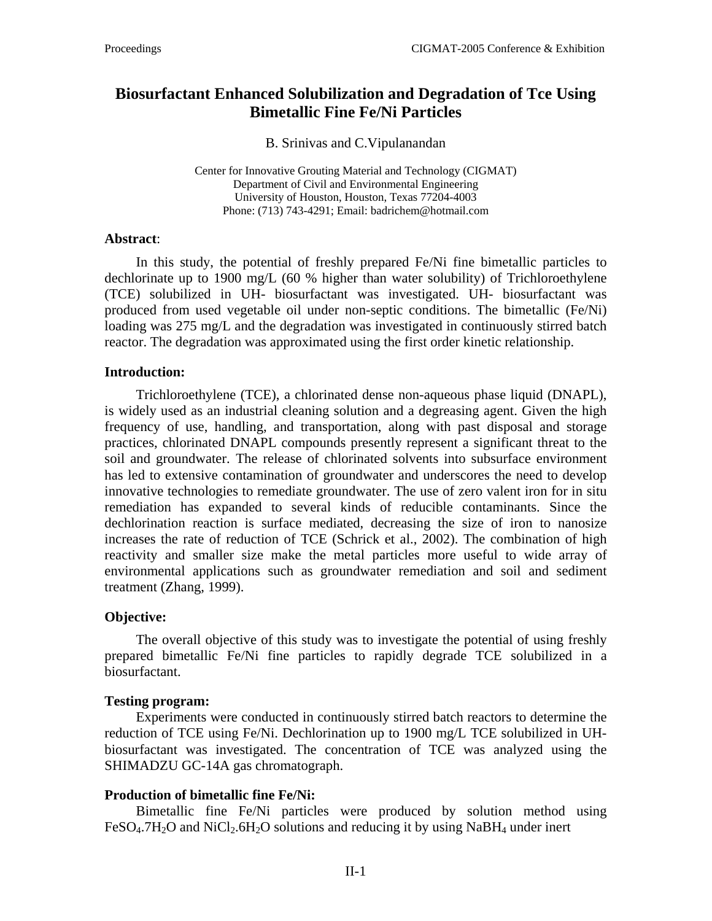# **Biosurfactant Enhanced Solubilization and Degradation of Tce Using Bimetallic Fine Fe/Ni Particles**

B. Srinivas and C.Vipulanandan

Center for Innovative Grouting Material and Technology (CIGMAT) Department of Civil and Environmental Engineering University of Houston, Houston, Texas 77204-4003 Phone: (713) 743-4291; Email: badrichem@hotmail.com

### **Abstract**:

In this study, the potential of freshly prepared Fe/Ni fine bimetallic particles to dechlorinate up to 1900 mg/L (60 % higher than water solubility) of Trichloroethylene (TCE) solubilized in UH- biosurfactant was investigated. UH- biosurfactant was produced from used vegetable oil under non-septic conditions. The bimetallic (Fe/Ni) loading was 275 mg/L and the degradation was investigated in continuously stirred batch reactor. The degradation was approximated using the first order kinetic relationship.

### **Introduction:**

Trichloroethylene (TCE), a chlorinated dense non-aqueous phase liquid (DNAPL), is widely used as an industrial cleaning solution and a degreasing agent. Given the high frequency of use, handling, and transportation, along with past disposal and storage practices, chlorinated DNAPL compounds presently represent a significant threat to the soil and groundwater. The release of chlorinated solvents into subsurface environment has led to extensive contamination of groundwater and underscores the need to develop innovative technologies to remediate groundwater. The use of zero valent iron for in situ remediation has expanded to several kinds of reducible contaminants. Since the dechlorination reaction is surface mediated, decreasing the size of iron to nanosize increases the rate of reduction of TCE (Schrick et al., 2002). The combination of high reactivity and smaller size make the metal particles more useful to wide array of environmental applications such as groundwater remediation and soil and sediment treatment (Zhang, 1999).

### **Objective:**

The overall objective of this study was to investigate the potential of using freshly prepared bimetallic Fe/Ni fine particles to rapidly degrade TCE solubilized in a biosurfactant.

### **Testing program:**

Experiments were conducted in continuously stirred batch reactors to determine the reduction of TCE using Fe/Ni. Dechlorination up to 1900 mg/L TCE solubilized in UHbiosurfactant was investigated. The concentration of TCE was analyzed using the SHIMADZU GC-14A gas chromatograph.

# **Production of bimetallic fine Fe/Ni:**

Bimetallic fine Fe/Ni particles were produced by solution method using  $FeSO<sub>4</sub>$ .7H<sub>2</sub>O and NiCl<sub>2</sub>.6H<sub>2</sub>O solutions and reducing it by using NaBH<sub>4</sub> under inert